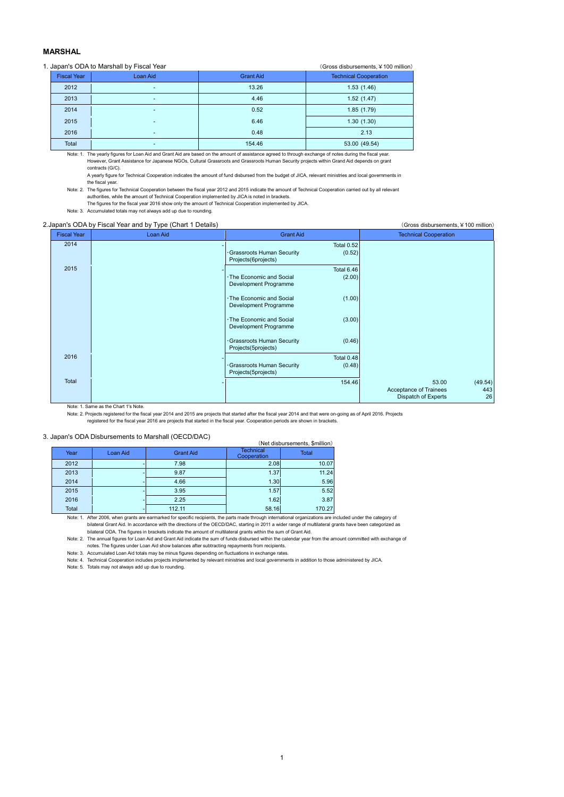## **MARSHAL**

## 1. Japan's ODA to Marshall by Fiscal Year (Gross disbursements, ¥100 million)

| $\sim$ . 000 and 00.000 and 00.000 $\sim$ . 000 mm. |                    |                          |                  |                              |  |  |  |  |  |
|-----------------------------------------------------|--------------------|--------------------------|------------------|------------------------------|--|--|--|--|--|
|                                                     | <b>Fiscal Year</b> | Loan Aid                 | <b>Grant Aid</b> | <b>Technical Cooperation</b> |  |  |  |  |  |
|                                                     | 2012               | $\overline{\phantom{a}}$ | 13.26            | 1.53(1.46)                   |  |  |  |  |  |
|                                                     | 2013               |                          | 4.46             | 1.52(1.47)                   |  |  |  |  |  |
|                                                     | 2014               | $\overline{\phantom{a}}$ | 0.52             | 1.85(1.79)                   |  |  |  |  |  |
|                                                     | 2015               |                          | 6.46             | 1.30(1.30)                   |  |  |  |  |  |
|                                                     | 2016               | $\overline{\phantom{a}}$ | 0.48             | 2.13                         |  |  |  |  |  |
|                                                     | Total              | -                        | 154.46           | 53.00 (49.54)                |  |  |  |  |  |

Note: 1. The yearly figures for Loan Aid and Grant Aid are based on the amount of assistance agreed to through exchange of notes during the fiscal year. However, Grant Assistance for Japanese NGOs, Cultural Grassroots and Grassroots Human Security projects within Grand Aid depends on grant contracts (G/C).

A yearly figure for Technical Cooperation indicates the amount of fund disbursed from the budget of JICA, relevant ministries and local governments in the fiscal year.

Note: 2. The figures for Technical Cooperation between the fiscal year 2012 and 2015 indicate the amount of Technical Cooperation carried out by all relevant authorities, while the amount of Technical Cooperation implemented by JICA is noted in brackets.

The figures for the fiscal year 2016 show only the amount of Technical Cooperation implemented by JICA. Note: 3. Accumulated totals may not always add up due to rounding.

## 2.Japan's ODA by Fiscal Year and by Type (Chart 1 Details) (Gross disbursements, ¥100 million)

| <b>Fiscal Year</b> | Loan Aid | <b>Grant Aid</b>                                                                  | <b>Technical Cooperation</b>                                                   |
|--------------------|----------|-----------------------------------------------------------------------------------|--------------------------------------------------------------------------------|
| 2014               |          | <b>Total 0.52</b><br>· Grassroots Human Security<br>(0.52)<br>Projects(6projects) |                                                                                |
| 2015               |          | <b>Total 6.46</b><br>· The Economic and Social<br>(2.00)<br>Development Programme |                                                                                |
|                    |          | (1.00)<br>· The Economic and Social<br>Development Programme                      |                                                                                |
|                    |          | · The Economic and Social<br>(3.00)<br>Development Programme                      |                                                                                |
|                    |          | Grassroots Human Security<br>(0.46)<br>Projects(5projects)                        |                                                                                |
| 2016               |          | Total 0.48<br>Grassroots Human Security<br>(0.48)<br>Projects(5projects)          |                                                                                |
| Total              |          | 154.46                                                                            | (49.54)<br>53.00<br>Acceptance of Trainees<br>443<br>26<br>Dispatch of Experts |

Note: 1. Same as the Chart 1's Note.

Note: 2. Projects registered for the fiscal year 2014 and 2015 are projects that started after the fiscal year 2014 and that were on-going as of April 2016. Projects<br>registered for the fiscal year 2016 are projects that st

## 3. Japan's ODA Disbursements to Marshall (OECD/DAC)

| Japan's ODA Dispuisements to Maishall (OECD/DAC)<br>(Net disbursements, \$million) |          |                  |                                 |        |  |  |  |  |
|------------------------------------------------------------------------------------|----------|------------------|---------------------------------|--------|--|--|--|--|
| Year                                                                               | Loan Aid | <b>Grant Aid</b> | <b>Technical</b><br>Cooperation | Total  |  |  |  |  |
| 2012                                                                               |          | 7.98             | 2.08                            | 10.07  |  |  |  |  |
| 2013                                                                               |          | 9.87             | 1.37                            | 11.24  |  |  |  |  |
| 2014                                                                               |          | 4.66             | 1.30                            | 5.96   |  |  |  |  |
| 2015                                                                               |          | 3.95             | 1.57                            | 5.52   |  |  |  |  |
| 2016                                                                               |          | 2.25             | 1.62                            | 3.87   |  |  |  |  |
| Total                                                                              |          | 112.11           | 58.16                           | 170.27 |  |  |  |  |

Note: 1. After 2006, when grants are earmarked for specific recipients, the parts made through international organizations are included under the category of bilateral Grant Aid. In accordance with the directions of the OECD/DAC, starting in 2011 a wider range of multilateral grants have been categorized as bilateral ODA. The figures in brackets indicate the amount of multilateral grants within the sum of Grant Aid.

Note: 2. The annual figures for Loan Aid and Grant Aid indicate the sum of funds disbursed within the calendar year from the amount committed with exchange of

notes. The figures under Loan Aid show balances after subtracting repayments from recipients. Note: 3. Accumulated Loan Aid totals may be minus figures depending on fluctuations in exchange rates.

Note: 4. Technical Cooperation includes projects implemented by relevant ministries and local governments in addition to those administered by JICA.

Note: 5. Totals may not always add up due to rounding.